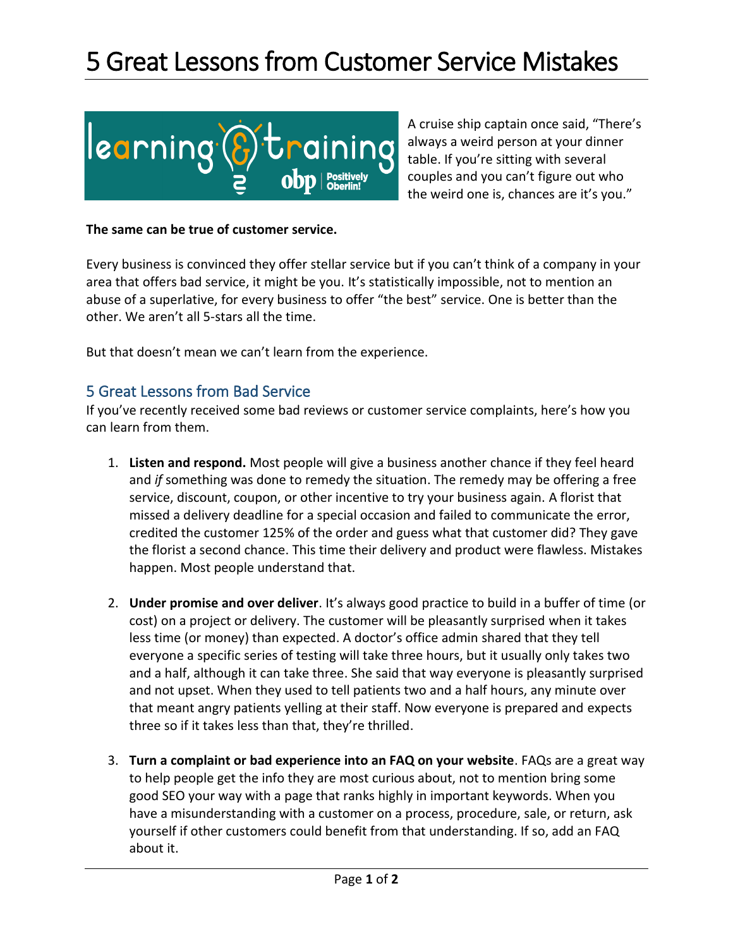## 5 Great Lessons from Customer Service Mistakes



A cruise ship captain once said, "There's always a weird person at your dinner table. If you're sitting with several couples and you can't figure out who the weird one is, chances are it's you."

**The same can be true of customer service.** 

Every business is convinced they offer stellar service but if you can't think of a company in your area that offers bad service, it might be you. It's statistically impossible, not to mention an abuse of a superlative, for every business to offer "the best" service. One is better than the other. We aren't all 5-stars all the time.

But that doesn't mean we can't learn from the experience.

## 5 Great Lessons from Bad Service

If you've recently received some bad reviews or customer service complaints, here's how you can learn from them.

- 1. **Listen and respond.** Most people will give a business another chance if they feel heard and *if* something was done to remedy the situation. The remedy may be offering a free service, discount, coupon, or other incentive to try your business again. A florist that missed a delivery deadline for a special occasion and failed to communicate the error, credited the customer 125% of the order and guess what that customer did? They gave the florist a second chance. This time their delivery and product were flawless. Mistakes happen. Most people understand that.
- 2. **Under promise and over deliver**. It's always good practice to build in a buffer of time (or cost) on a project or delivery. The customer will be pleasantly surprised when it takes less time (or money) than expected. A doctor's office admin shared that they tell everyone a specific series of testing will take three hours, but it usually only takes two and a half, although it can take three. She said that way everyone is pleasantly surprised and not upset. When they used to tell patients two and a half hours, any minute over that meant angry patients yelling at their staff. Now everyone is prepared and expects three so if it takes less than that, they're thrilled.
- 3. **Turn a complaint or bad experience into an FAQ on your website**. FAQs are a great way to help people get the info they are most curious about, not to mention bring some good SEO your way with a page that ranks highly in important keywords. When you have a misunderstanding with a customer on a process, procedure, sale, or return, ask yourself if other customers could benefit from that understanding. If so, add an FAQ about it.